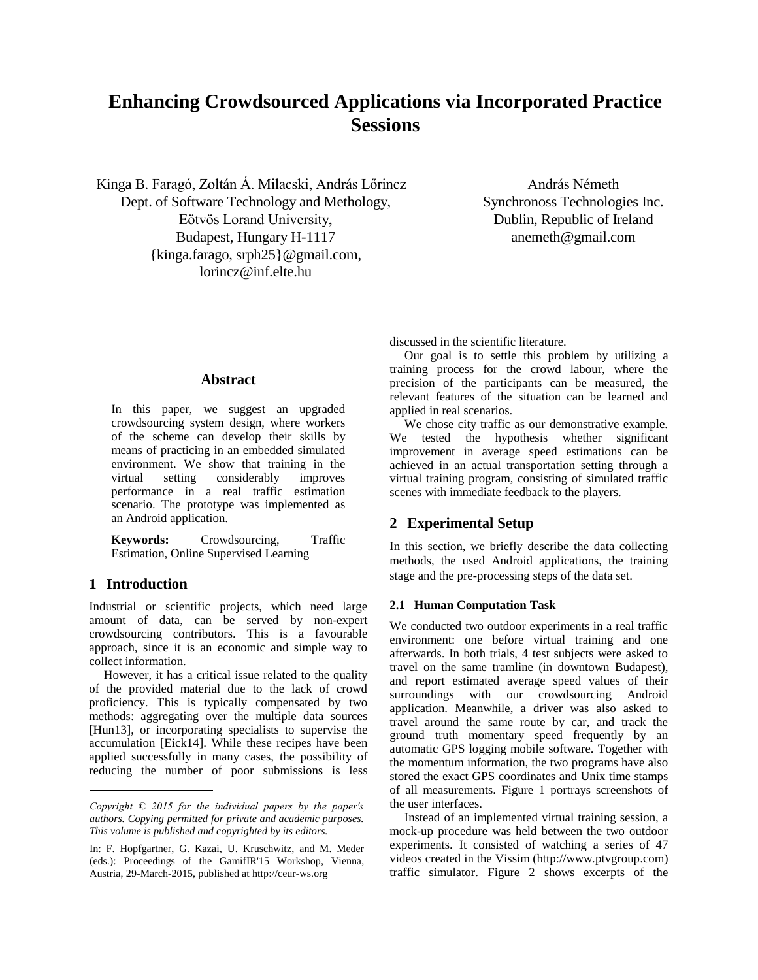# **Enhancing Crowdsourced Applications via Incorporated Practice Sessions**

Kinga B. Faragó, Zoltán Á. Milacski, András Lőrincz Dept. of Software Technology and Methology, Eötvös Lorand University, Budapest, Hungary H-1117 {kinga.farago, srph25}@gmail.com, lorincz@inf.elte.hu

András Németh Synchronoss Technologies Inc. Dublin, Republic of Ireland anemeth@gmail.com

discussed in the scientific literature.

#### **Abstract**

In this paper, we suggest an upgraded crowdsourcing system design, where workers of the scheme can develop their skills by means of practicing in an embedded simulated environment. We show that training in the virtual setting considerably improves performance in a real traffic estimation scenario. The prototype was implemented as an Android application.

**Keywords:** Crowdsourcing, Traffic Estimation, Online Supervised Learning

## **1 Introduction**

Industrial or scientific projects, which need large amount of data, can be served by non-expert crowdsourcing contributors. This is a favourable approach, since it is an economic and simple way to collect information.

However, it has a critical issue related to the quality of the provided material due to the lack of crowd proficiency. This is typically compensated by two methods: aggregating over the multiple data sources [Hun13], or incorporating specialists to supervise the accumulation [Eick14]. While these recipes have been applied successfully in many cases, the possibility of reducing the number of poor submissions is less

Our goal is to settle this problem by utilizing a training process for the crowd labour, where the precision of the participants can be measured, the relevant features of the situation can be learned and applied in real scenarios.

We chose city traffic as our demonstrative example. We tested the hypothesis whether significant improvement in average speed estimations can be achieved in an actual transportation setting through a virtual training program, consisting of simulated traffic scenes with immediate feedback to the players.

## **2 Experimental Setup**

In this section, we briefly describe the data collecting methods, the used Android applications, the training stage and the pre-processing steps of the data set.

#### **2.1 Human Computation Task**

We conducted two outdoor experiments in a real traffic environment: one before virtual training and one afterwards. In both trials, 4 test subjects were asked to travel on the same tramline (in downtown Budapest), and report estimated average speed values of their surroundings with our crowdsourcing Android application. Meanwhile, a driver was also asked to travel around the same route by car, and track the ground truth momentary speed frequently by an automatic GPS logging mobile software. Together with the momentum information, the two programs have also stored the exact GPS coordinates and Unix time stamps of all measurements. Figure 1 portrays screenshots of the user interfaces.

Instead of an implemented virtual training session, a mock-up procedure was held between the two outdoor experiments. It consisted of watching a series of 47 videos created in the Vissim (http://www.ptvgroup.com) traffic simulator. Figure 2 shows excerpts of the

*Copyright © 2015 for the individual papers by the paper's authors. Copying permitted for private and academic purposes. This volume is published and copyrighted by its editors.*

In: F. Hopfgartner, G. Kazai, U. Kruschwitz, and M. Meder (eds.): Proceedings of the GamifIR'15 Workshop, Vienna, Austria, 29-March-2015, published at http://ceur-ws.org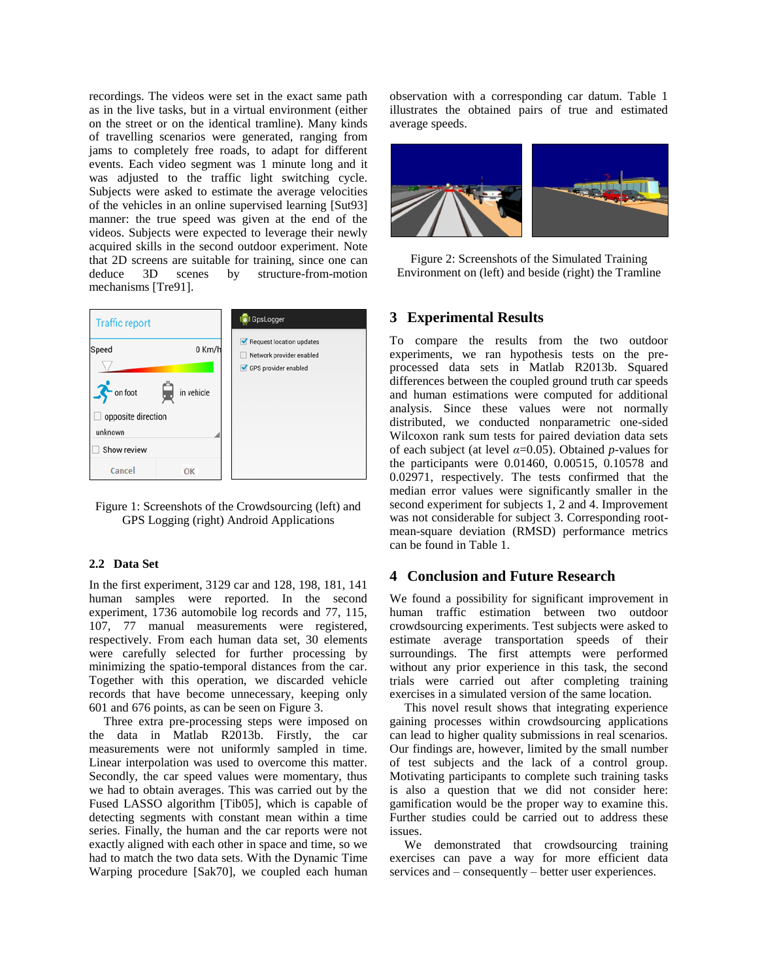recordings. The videos were set in the exact same path as in the live tasks, but in a virtual environment (either on the street or on the identical tramline). Many kinds of travelling scenarios were generated, ranging from jams to completely free roads, to adapt for different events. Each video segment was 1 minute long and it was adjusted to the traffic light switching cycle. Subjects were asked to estimate the average velocities of the vehicles in an online supervised learning [Sut93] manner: the true speed was given at the end of the videos. Subjects were expected to leverage their newly acquired skills in the second outdoor experiment. Note that 2D screens are suitable for training, since one can deduce 3D scenes by structure-from-motion mechanisms [Tre91].



Figure 1: Screenshots of the Crowdsourcing (left) and GPS Logging (right) Android Applications

#### **2.2 Data Set**

In the first experiment, 3129 car and 128, 198, 181, 141 human samples were reported. In the second experiment, 1736 automobile log records and 77, 115, 107, 77 manual measurements were registered, respectively. From each human data set, 30 elements were carefully selected for further processing by minimizing the spatio-temporal distances from the car. Together with this operation, we discarded vehicle records that have become unnecessary, keeping only 601 and 676 points, as can be seen on Figure 3.

Three extra pre-processing steps were imposed on the data in Matlab R2013b. Firstly, the car measurements were not uniformly sampled in time. Linear interpolation was used to overcome this matter. Secondly, the car speed values were momentary, thus we had to obtain averages. This was carried out by the Fused LASSO algorithm [Tib05], which is capable of detecting segments with constant mean within a time series. Finally, the human and the car reports were not exactly aligned with each other in space and time, so we had to match the two data sets. With the Dynamic Time Warping procedure [Sak70], we coupled each human

observation with a corresponding car datum. Table 1 illustrates the obtained pairs of true and estimated average speeds.



Figure 2: Screenshots of the Simulated Training Environment on (left) and beside (right) the Tramline

#### **3 Experimental Results**

To compare the results from the two outdoor experiments, we ran hypothesis tests on the preprocessed data sets in Matlab R2013b. Squared differences between the coupled ground truth car speeds and human estimations were computed for additional analysis. Since these values were not normally distributed, we conducted nonparametric one-sided Wilcoxon rank sum tests for paired deviation data sets of each subject (at level *α*=0.05). Obtained *p*-values for the participants were 0.01460, 0.00515, 0.10578 and 0.02971, respectively. The tests confirmed that the median error values were significantly smaller in the second experiment for subjects 1, 2 and 4. Improvement was not considerable for subject 3. Corresponding rootmean-square deviation (RMSD) performance metrics can be found in Table 1.

## **4 Conclusion and Future Research**

We found a possibility for significant improvement in human traffic estimation between two outdoor crowdsourcing experiments. Test subjects were asked to estimate average transportation speeds of their surroundings. The first attempts were performed without any prior experience in this task, the second trials were carried out after completing training exercises in a simulated version of the same location.

This novel result shows that integrating experience gaining processes within crowdsourcing applications can lead to higher quality submissions in real scenarios. Our findings are, however, limited by the small number of test subjects and the lack of a control group. Motivating participants to complete such training tasks is also a question that we did not consider here: gamification would be the proper way to examine this. Further studies could be carried out to address these issues.

We demonstrated that crowdsourcing training exercises can pave a way for more efficient data services and – consequently – better user experiences.